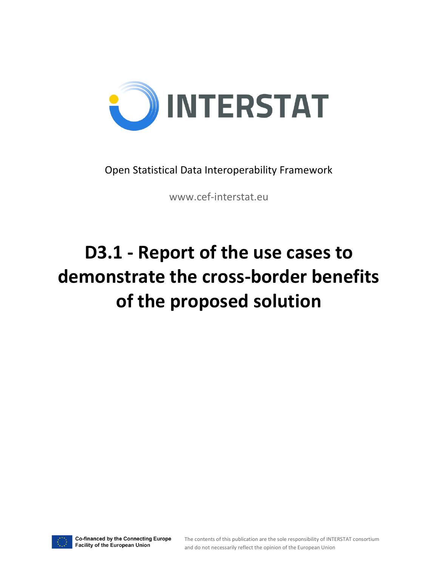

Open Statistical Data Interoperability Framework

www.cef-interstat.eu

# **D3.1 - Report of the use cases to demonstrate the cross-border benefits of the proposed solution**

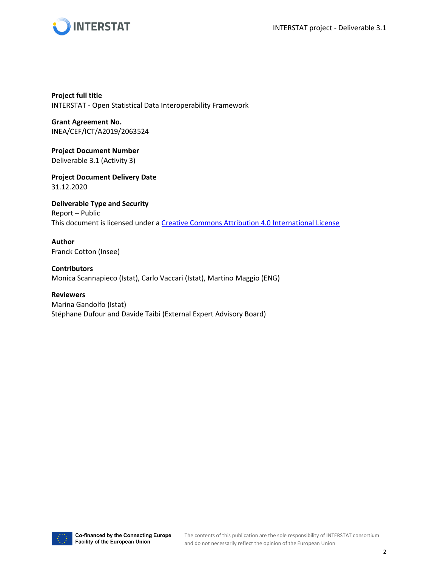



**Project full title** INTERSTAT - Open Statistical Data Interoperability Framework

**Grant Agreement No.** INEA/CEF/ICT/A2019/2063524

**Project Document Number** Deliverable 3.1 (Activity 3)

**Project Document Delivery Date** 31.12.2020

**Deliverable Type and Security** Report – Public This document is licensed under a [Creative Commons Attribution 4.0 International License](https://creativecommons.org/licenses/by/4.0/)

**Author** Franck Cotton (Insee)

**Contributors** Monica Scannapieco (Istat), Carlo Vaccari (Istat), Martino Maggio (ENG)

**Reviewers** Marina Gandolfo (Istat) Stéphane Dufour and Davide Taibi (External Expert Advisory Board)

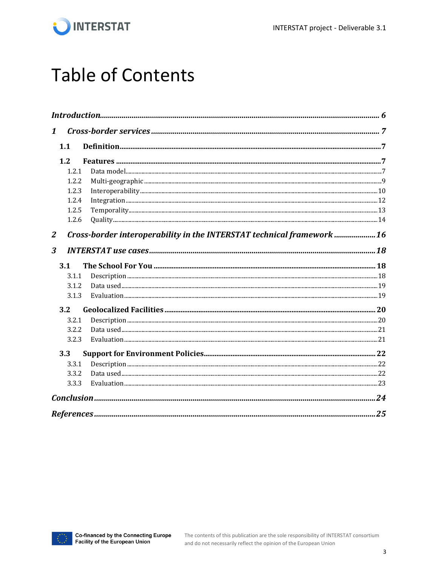

## **Table of Contents**

| $\mathbf{1}$     |       |                                                                        |  |  |  |
|------------------|-------|------------------------------------------------------------------------|--|--|--|
|                  | 1.1   |                                                                        |  |  |  |
|                  | 1.2   |                                                                        |  |  |  |
|                  | 1.2.1 |                                                                        |  |  |  |
|                  | 1.2.2 |                                                                        |  |  |  |
|                  | 1.2.3 |                                                                        |  |  |  |
|                  | 1.2.4 |                                                                        |  |  |  |
|                  | 1.2.5 |                                                                        |  |  |  |
|                  | 1.2.6 |                                                                        |  |  |  |
| $\boldsymbol{2}$ |       | Cross-border interoperability in the INTERSTAT technical framework  16 |  |  |  |
| 3                |       |                                                                        |  |  |  |
|                  | 3.1   |                                                                        |  |  |  |
|                  | 3.1.1 |                                                                        |  |  |  |
|                  | 3.1.2 |                                                                        |  |  |  |
|                  | 3.1.3 |                                                                        |  |  |  |
|                  | 3.2   |                                                                        |  |  |  |
|                  | 3.2.1 |                                                                        |  |  |  |
|                  | 3.2.2 |                                                                        |  |  |  |
|                  | 3.2.3 |                                                                        |  |  |  |
|                  | 3.3   |                                                                        |  |  |  |
|                  | 3.3.1 |                                                                        |  |  |  |
|                  | 3.3.2 |                                                                        |  |  |  |
|                  | 3.3.3 |                                                                        |  |  |  |
|                  |       |                                                                        |  |  |  |
|                  |       |                                                                        |  |  |  |

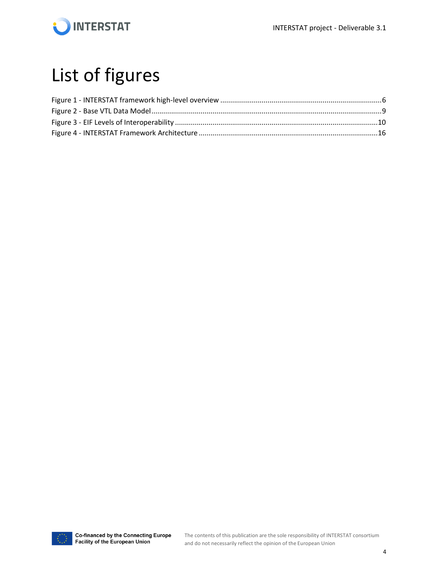

## List of figures

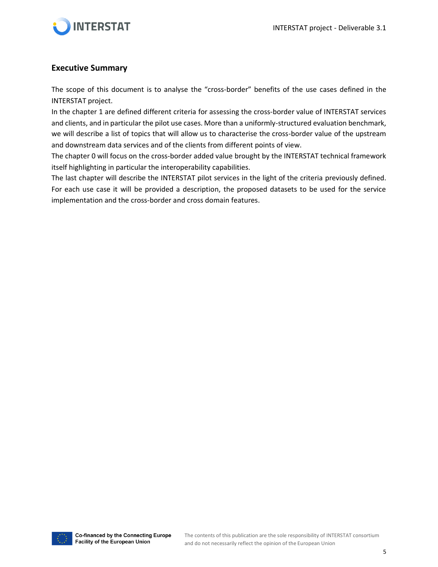

#### **Executive Summary**

The scope of this document is to analyse the "cross-border" benefits of the use cases defined in the INTERSTAT project.

In the chapter [1](#page-6-0) are defined different criteria for assessing the cross-border value of INTERSTAT services and clients, and in particular the pilot use cases. More than a uniformly-structured evaluation benchmark, we will describe a list of topics that will allow us to characterise the cross-border value of the upstream and downstream data services and of the clients from different points of view.

The chapter [0](#page-14-0) will focus on the cross-border added value brought by the INTERSTAT technical framework itself highlighting in particular the interoperability capabilities.

The last chapter will describe the INTERSTAT pilot services in the light of the criteria previously defined. For each use case it will be provided a description, the proposed datasets to be used for the service implementation and the cross-border and cross domain features.

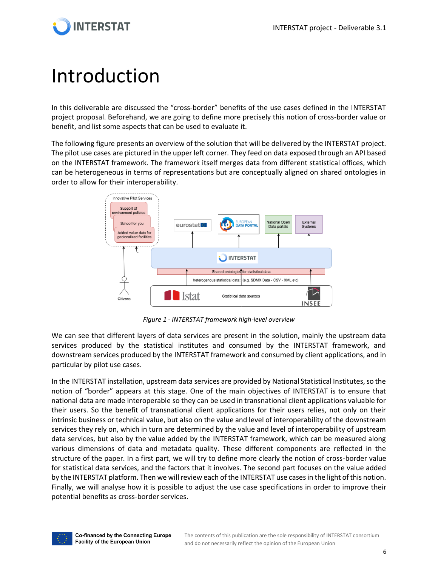

## <span id="page-5-0"></span>Introduction

In this deliverable are discussed the "cross-border" benefits of the use cases defined in the INTERSTAT project proposal. Beforehand, we are going to define more precisely this notion of cross-border value or benefit, and list some aspects that can be used to evaluate it.

The following figure presents an overview of the solution that will be delivered by the INTERSTAT project. The pilot use cases are pictured in the upper left corner. They feed on data exposed through an API based on the INTERSTAT framework. The framework itself merges data from different statistical offices, which can be heterogeneous in terms of representations but are conceptually aligned on shared ontologies in order to allow for their interoperability.



*Figure 1 - INTERSTAT framework high-level overview*

<span id="page-5-1"></span>We can see that different layers of data services are present in the solution, mainly the upstream data services produced by the statistical institutes and consumed by the INTERSTAT framework, and downstream services produced by the INTERSTAT framework and consumed by client applications, and in particular by pilot use cases.

In the INTERSTAT installation, upstream data services are provided by National Statistical Institutes, so the notion of "border" appears at this stage. One of the main objectives of INTERSTAT is to ensure that national data are made interoperable so they can be used in transnational client applications valuable for their users. So the benefit of transnational client applications for their users relies, not only on their intrinsic business or technical value, but also on the value and level of interoperability of the downstream services they rely on, which in turn are determined by the value and level of interoperability of upstream data services, but also by the value added by the INTERSTAT framework, which can be measured along various dimensions of data and metadata quality. These different components are reflected in the structure of the paper. In a first part, we will try to define more clearly the notion of cross-border value for statistical data services, and the factors that it involves. The second part focuses on the value added by the INTERSTAT platform. Then we will review each of the INTERSTAT use cases in the light of this notion. Finally, we will analyse how it is possible to adjust the use case specifications in order to improve their potential benefits as cross-border services.

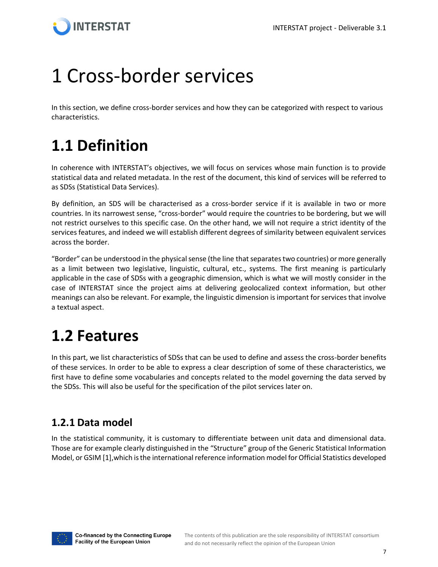

## <span id="page-6-0"></span>1 Cross-border services

In this section, we define cross-border services and how they can be categorized with respect to various characteristics.

### <span id="page-6-1"></span>**1.1 Definition**

In coherence with INTERSTAT's objectives, we will focus on services whose main function is to provide statistical data and related metadata. In the rest of the document, this kind of services will be referred to as SDSs (Statistical Data Services).

By definition, an SDS will be characterised as a cross-border service if it is available in two or more countries. In its narrowest sense, "cross-border" would require the countries to be bordering, but we will not restrict ourselves to this specific case. On the other hand, we will not require a strict identity of the services features, and indeed we will establish different degrees of similarity between equivalent services across the border.

"Border" can be understood in the physical sense (the line that separates two countries) or more generally as a limit between two legislative, linguistic, cultural, etc., systems. The first meaning is particularly applicable in the case of SDSs with a geographic dimension, which is what we will mostly consider in the case of INTERSTAT since the project aims at delivering geolocalized context information, but other meanings can also be relevant. For example, the linguistic dimension is important for services that involve a textual aspect.

### <span id="page-6-2"></span>**1.2 Features**

In this part, we list characteristics of SDSs that can be used to define and assess the cross-border benefits of these services. In order to be able to express a clear description of some of these characteristics, we first have to define some vocabularies and concepts related to the model governing the data served by the SDSs. This will also be useful for the specification of the pilot services later on.

### <span id="page-6-3"></span>**1.2.1 Data model**

In the statistical community, it is customary to differentiate between unit data and dimensional data. Those are for example clearly distinguished in the "Structure" group of the Generic Statistical Information Model, or GSIM [1],which is the international reference information model for Official Statistics developed

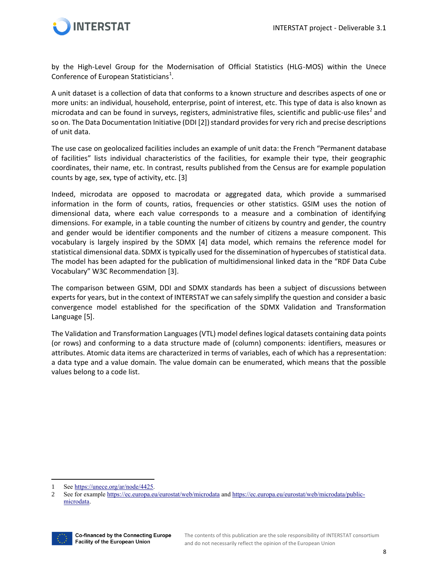

by the High-Level Group for the Modernisation of Official Statistics (HLG-MOS) within the Unece Conference of European Statisticians<sup>1</sup>.

A unit dataset is a collection of data that conforms to a known structure and describes aspects of one or more units: an individual, household, enterprise, point of interest, etc. This type of data is also known as microdata and can be found in surveys, registers, administrative files, scientific and public-use files<sup>2</sup> and so on. The Data Documentation Initiative (DDI [2]) standard provides for very rich and precise descriptions of unit data.

The use case on geolocalized facilities includes an example of unit data: the French "Permanent database of facilities" lists individual characteristics of the facilities, for example their type, their geographic coordinates, their name, etc. In contrast, results published from the Census are for example population counts by age, sex, type of activity, etc. [3]

Indeed, microdata are opposed to macrodata or aggregated data, which provide a summarised information in the form of counts, ratios, frequencies or other statistics. GSIM uses the notion of dimensional data, where each value corresponds to a measure and a combination of identifying dimensions. For example, in a table counting the number of citizens by country and gender, the country and gender would be identifier components and the number of citizens a measure component. This vocabulary is largely inspired by the SDMX [4] data model, which remains the reference model for statistical dimensional data. SDMX is typically used for the dissemination of hypercubes of statistical data. The model has been adapted for the publication of multidimensional linked data in the "RDF Data Cube Vocabulary" W3C Recommendation [3].

The comparison between GSIM, DDI and SDMX standards has been a subject of discussions between experts for years, but in the context of INTERSTAT we can safely simplify the question and consider a basic convergence model established for the specification of the SDMX Validation and Transformation Language [5].

The Validation and Transformation Languages (VTL) model defines logical datasets containing data points (or rows) and conforming to a data structure made of (column) components: identifiers, measures or attributes. Atomic data items are characterized in terms of variables, each of which has a representation: a data type and a value domain. The value domain can be enumerated, which means that the possible values belong to a code list.

<sup>2</sup> See for exampl[e https://ec.europa.eu/eurostat/web/microdata](https://ec.europa.eu/eurostat/web/microdata) an[d https://ec.europa.eu/eurostat/web/microdata/public](https://ec.europa.eu/eurostat/web/microdata/public-microdata)[microdata.](https://ec.europa.eu/eurostat/web/microdata/public-microdata)



<sup>1</sup> Se[e https://unece.org/ar/node/4425.](https://unece.org/ar/node/4425)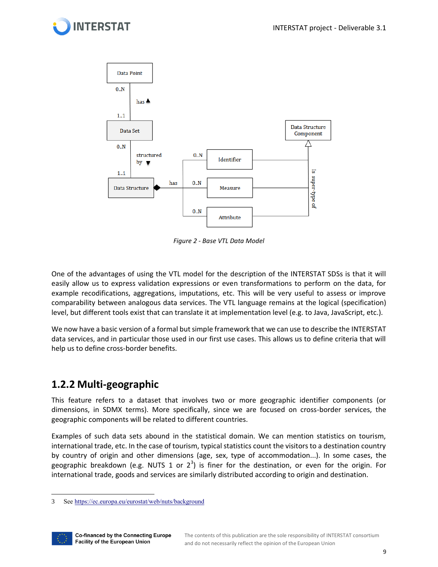



*Figure 2 - Base VTL Data Model*

<span id="page-8-1"></span>One of the advantages of using the VTL model for the description of the INTERSTAT SDSs is that it will easily allow us to express validation expressions or even transformations to perform on the data, for example recodifications, aggregations, imputations, etc. This will be very useful to assess or improve comparability between analogous data services. The VTL language remains at the logical (specification) level, but different tools exist that can translate it at implementation level (e.g. to Java, JavaScript, etc.).

We now have a basic version of a formal but simple framework that we can use to describe the INTERSTAT data services, and in particular those used in our first use cases. This allows us to define criteria that will help us to define cross-border benefits.

### <span id="page-8-0"></span>**1.2.2 Multi-geographic**

This feature refers to a dataset that involves two or more geographic identifier components (or dimensions, in SDMX terms). More specifically, since we are focused on cross-border services, the geographic components will be related to different countries.

Examples of such data sets abound in the statistical domain. We can mention statistics on tourism, international trade, etc. In the case of tourism, typical statistics count the visitors to a destination country by country of origin and other dimensions (age, sex, type of accommodation...). In some cases, the geographic breakdown (e.g. NUTS 1 or  $2^3$ ) is finer for the destination, or even for the origin. For international trade, goods and services are similarly distributed according to origin and destination.

<sup>3</sup> Se[e https://ec.europa.eu/eurostat/web/nuts/background](https://ec.europa.eu/eurostat/web/nuts/background)

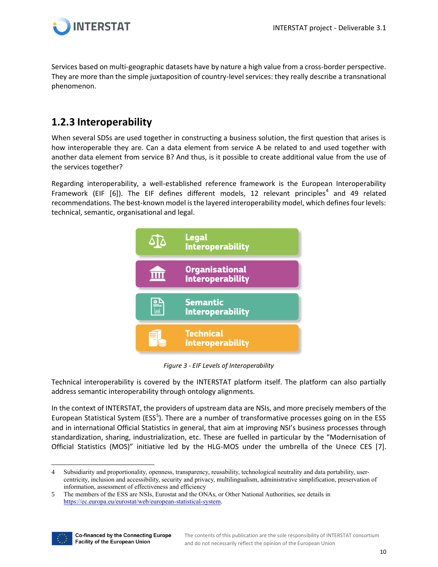

Services based on multi-geographic datasets have by nature a high value from a cross-border perspective. They are more than the simple juxtaposition of country-level services: they really describe a transnational phenomenon.

#### <span id="page-9-0"></span>**1.2.3 Interoperability**

When several SDSs are used together in constructing a business solution, the first question that arises is how interoperable they are. Can a data element from service A be related to and used together with another data element from service B? And thus, is it possible to create additional value from the use of the services together?

Regarding interoperability, a well-established reference framework is the European Interoperability Framework (EIF [6]). The EIF defines different models, 12 relevant principles<sup>4</sup> and 49 related recommendations. The best-known model is the layered interoperability model, which defines four levels: technical, semantic, organisational and legal.



*Figure 3 - EIF Levels of Interoperability*

<span id="page-9-1"></span>Technical interoperability is covered by the INTERSTAT platform itself. The platform can also partially address semantic interoperability through ontology alignments.

In the context of INTERSTAT, the providers of upstream data are NSIs, and more precisely members of the European Statistical System (ESS<sup>5</sup>). There are a number of transformative processes going on in the ESS and in international Official Statistics in general, that aim at improving NSI's business processes through standardization, sharing, industrialization, etc. These are fuelled in particular by the "Modernisation of Official Statistics (MOS)" initiative led by the HLG-MOS under the umbrella of the Unece CES [7].

<sup>5</sup> The members of the ESS are NSIs, Eurostat and the ONAs, or Other National Authorities, see details in [https://ec.europa.eu/eurostat/web/european-statistical-system.](https://ec.europa.eu/eurostat/web/european-statistical-system) 



<sup>4</sup> Subsidiarity and proportionality, openness, transparency, reusability, technological neutrality and data portability, usercentricity, inclusion and accessibility, security and privacy, multilingualism, administrative simplification, preservation of information, assessment of effectiveness and efficiency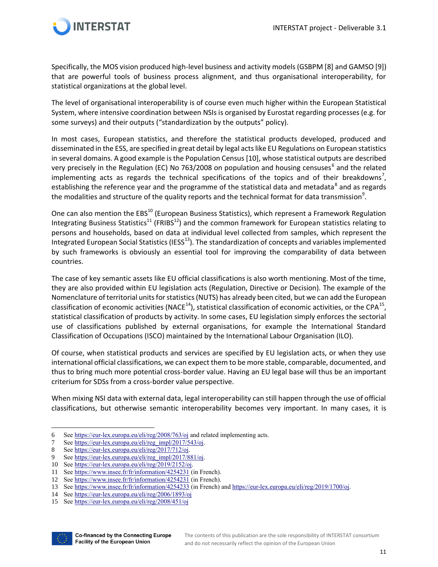

Specifically, the MOS vision produced high-level business and activity models (GSBPM [8] and GAMSO [9]) that are powerful tools of business process alignment, and thus organisational interoperability, for statistical organizations at the global level.

The level of organisational interoperability is of course even much higher within the European Statistical System, where intensive coordination between NSIs is organised by Eurostat regarding processes (e.g. for some surveys) and their outputs ("standardization by the outputs" policy).

In most cases, European statistics, and therefore the statistical products developed, produced and disseminated in the ESS, are specified in great detail by legal acts like EU Regulations on European statistics in several domains. A good example is the Population Census [10], whose statistical outputs are described very precisely in the Regulation (EC) No 763/2008 on population and housing censuses<sup>6</sup> and the related implementing acts as regards the technical specifications of the topics and of their breakdowns<sup>7</sup>, establishing the reference year and the programme of the statistical data and metadata<sup>8</sup> and as regards the modalities and structure of the quality reports and the technical format for data transmission $^9$ .

One can also mention the EBS<sup>10</sup> (European Business Statistics), which represent a Framework Regulation Integrating Business Statistics<sup>11</sup> (FRIBS<sup>12</sup>) and the common framework for European statistics relating to persons and households, based on data at individual level collected from samples, which represent the Integrated European Social Statistics (IESS<sup>13</sup>). The standardization of concepts and variables implemented by such frameworks is obviously an essential tool for improving the comparability of data between countries.

The case of key semantic assets like EU official classifications is also worth mentioning. Most of the time, they are also provided within EU legislation acts (Regulation, Directive or Decision). The example of the Nomenclature of territorial units for statistics (NUTS) has already been cited, but we can add the European classification of economic activities (NACE<sup>14</sup>), statistical classification of economic activities, or the CPA<sup>15</sup>, statistical classification of products by activity. In some cases, EU legislation simply enforces the sectorial use of classifications published by external organisations, for example the International Standard Classification of Occupations (ISCO) maintained by the International Labour Organisation (ILO).

Of course, when statistical products and services are specified by EU legislation acts, or when they use international official classifications, we can expect them to be more stable, comparable, documented, and thus to bring much more potential cross-border value. Having an EU legal base will thus be an important criterium for SDSs from a cross-border value perspective.

When mixing NSI data with external data, legal interoperability can still happen through the use of official classifications, but otherwise semantic interoperability becomes very important. In many cases, it is

<sup>15</sup> Se[e https://eur-lex.europa.eu/eli/reg/2008/451/oj](https://eur-lex.europa.eu/eli/reg/2008/451/oj)



<sup>6</sup> Se[e https://eur-lex.europa.eu/eli/reg/2008/763/oj](https://eur-lex.europa.eu/eli/reg/2008/763/oj) and related implementing acts.

<sup>7</sup> Se[e https://eur-lex.europa.eu/eli/reg\\_impl/2017/543/oj.](https://eur-lex.europa.eu/eli/reg_impl/2017/543/oj)

<sup>8</sup> Se[e https://eur-lex.europa.eu/eli/reg/2017/712/oj.](https://eur-lex.europa.eu/eli/reg/2017/712/oj)

See https://eur-lex.europa.eu/eli/reg\_impl/2017/881/oj.

<sup>10</sup> Se[e https://eur-lex.europa.eu/eli/reg/2019/2152/oj.](https://eur-lex.europa.eu/eli/reg/2019/2152/oj)

<sup>11</sup> Se[e https://www.insee.fr/fr/information/4254231](https://www.insee.fr/fr/information/4254231) (in French).

<sup>12</sup> Se[e https://www.insee.fr/fr/information/4254231](https://www.insee.fr/fr/information/4254231) (in French).

<sup>13</sup> Se[e https://www.insee.fr/fr/information/4254233](https://www.insee.fr/fr/information/4254233) (in French) an[d https://eur-lex.europa.eu/eli/reg/2019/1700/oj.](https://eur-lex.europa.eu/eli/reg/2019/1700/oj)

<sup>14</sup> Se[e https://eur-lex.europa.eu/eli/reg/2006/1893/oj](https://eur-lex.europa.eu/eli/reg/2006/1893/oj)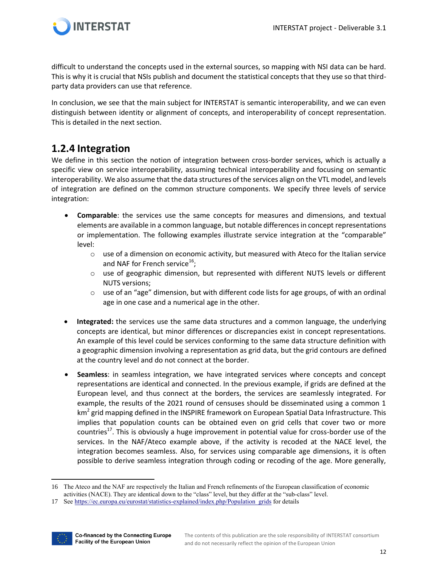

difficult to understand the concepts used in the external sources, so mapping with NSI data can be hard. This is why it is crucial that NSIs publish and document the statistical concepts that they use so that thirdparty data providers can use that reference.

In conclusion, we see that the main subject for INTERSTAT is semantic interoperability, and we can even distinguish between identity or alignment of concepts, and interoperability of concept representation. This is detailed in the next section.

#### <span id="page-11-0"></span>**1.2.4 Integration**

We define in this section the notion of integration between cross-border services, which is actually a specific view on service interoperability, assuming technical interoperability and focusing on semantic interoperability. We also assume that the data structures of the services align on the VTL model, and levels of integration are defined on the common structure components. We specify three levels of service integration:

- **Comparable**: the services use the same concepts for measures and dimensions, and textual elements are available in a common language, but notable differences in concept representations or implementation. The following examples illustrate service integration at the "comparable" level:
	- $\circ$  use of a dimension on economic activity, but measured with Ateco for the Italian service and NAF for French service $^{16}$ ;
	- $\circ$  use of geographic dimension, but represented with different NUTS levels or different NUTS versions;
	- $\circ$  use of an "age" dimension, but with different code lists for age groups, of with an ordinal age in one case and a numerical age in the other.
- **Integrated:** the services use the same data structures and a common language, the underlying concepts are identical, but minor differences or discrepancies exist in concept representations. An example of this level could be services conforming to the same data structure definition with a geographic dimension involving a representation as grid data, but the grid contours are defined at the country level and do not connect at the border.
- **Seamless**: in seamless integration, we have integrated services where concepts and concept representations are identical and connected. In the previous example, if grids are defined at the European level, and thus connect at the borders, the services are seamlessly integrated. For example, the results of the 2021 round of censuses should be disseminated using a common 1 km<sup>2</sup> grid mapping defined in the INSPIRE framework on European Spatial Data Infrastructure. This implies that population counts can be obtained even on grid cells that cover two or more countries<sup>17</sup>. This is obviously a huge improvement in potential value for cross-border use of the services. In the NAF/Ateco example above, if the activity is recoded at the NACE level, the integration becomes seamless. Also, for services using comparable age dimensions, it is often possible to derive seamless integration through coding or recoding of the age. More generally,

<sup>17</sup> Se[e https://ec.europa.eu/eurostat/statistics-explained/index.php/Population\\_grids](https://ec.europa.eu/eurostat/statistics-explained/index.php/Population_grids) for details



<sup>16</sup> The Ateco and the NAF are respectively the Italian and French refinements of the European classification of economic

activities (NACE). They are identical down to the "class" level, but they differ at the "sub-class" level.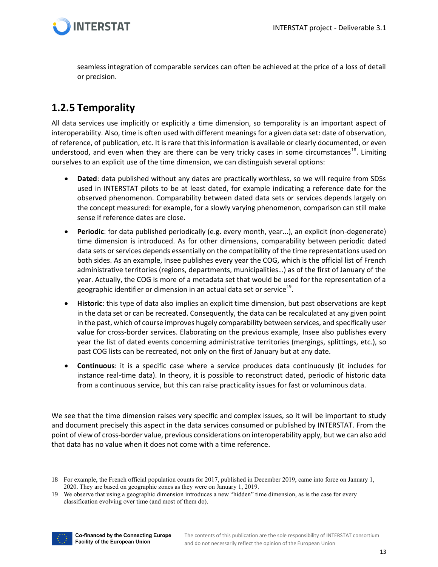

seamless integration of comparable services can often be achieved at the price of a loss of detail or precision.

### <span id="page-12-0"></span>**1.2.5 Temporality**

All data services use implicitly or explicitly a time dimension, so temporality is an important aspect of interoperability. Also, time is often used with different meanings for a given data set: date of observation, of reference, of publication, etc. It is rare that this information is available or clearly documented, or even understood, and even when they are there can be very tricky cases in some circumstances<sup>18</sup>. Limiting ourselves to an explicit use of the time dimension, we can distinguish several options:

- **Dated**: data published without any dates are practically worthless, so we will require from SDSs used in INTERSTAT pilots to be at least dated, for example indicating a reference date for the observed phenomenon. Comparability between dated data sets or services depends largely on the concept measured: for example, for a slowly varying phenomenon, comparison can still make sense if reference dates are close.
- **Periodic**: for data published periodically (e.g. every month, year...), an explicit (non-degenerate) time dimension is introduced. As for other dimensions, comparability between periodic dated data sets or services depends essentially on the compatibility of the time representations used on both sides. As an example, Insee publishes every year the COG, which is the official list of French administrative territories (regions, departments, municipalities…) as of the first of January of the year. Actually, the COG is more of a metadata set that would be used for the representation of a geographic identifier or dimension in an actual data set or service $^{19}$ .
- **Historic**: this type of data also implies an explicit time dimension, but past observations are kept in the data set or can be recreated. Consequently, the data can be recalculated at any given point in the past, which of course improves hugely comparability between services, and specifically user value for cross-border services. Elaborating on the previous example, Insee also publishes every year the list of dated events concerning administrative territories (mergings, splittings, etc.), so past COG lists can be recreated, not only on the first of January but at any date.
- **Continuous**: it is a specific case where a service produces data continuously (it includes for instance real-time data). In theory, it is possible to reconstruct dated, periodic of historic data from a continuous service, but this can raise practicality issues for fast or voluminous data.

We see that the time dimension raises very specific and complex issues, so it will be important to study and document precisely this aspect in the data services consumed or published by INTERSTAT. From the point of view of cross-border value, previous considerations on interoperability apply, but we can also add that data has no value when it does not come with a time reference.

<sup>19</sup> We observe that using a geographic dimension introduces a new "hidden" time dimension, as is the case for every classification evolving over time (and most of them do).



<sup>18</sup> For example, the French official population counts for 2017, published in December 2019, came into force on January 1, 2020. They are based on geographic zones as they were on January 1, 2019.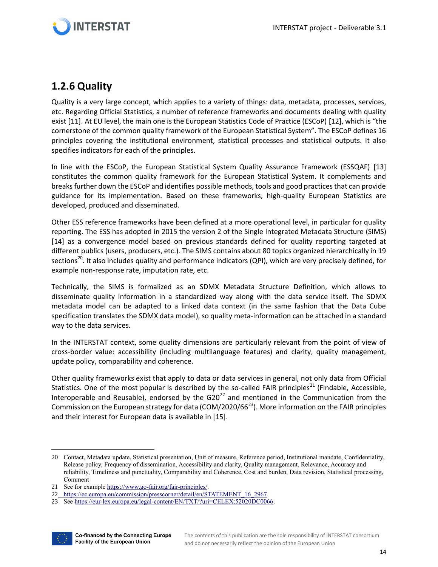

### <span id="page-13-0"></span>**1.2.6 Quality**

Quality is a very large concept, which applies to a variety of things: data, metadata, processes, services, etc. Regarding Official Statistics, a number of reference frameworks and documents dealing with quality exist [11]. At EU level, the main one is the European Statistics Code of Practice (ESCoP) [12], which is "the cornerstone of the common quality framework of the European Statistical System". The ESCoP defines 16 principles covering the institutional environment, statistical processes and statistical outputs. It also specifies indicators for each of the principles.

In line with the ESCoP, the European Statistical System Quality Assurance Framework (ESSQAF) [13] constitutes the common quality framework for the European Statistical System. It complements and breaks further down the ESCoP and identifies possible methods, tools and good practices that can provide guidance for its implementation. Based on these frameworks, high-quality European Statistics are developed, produced and disseminated.

Other ESS reference frameworks have been defined at a more operational level, in particular for quality reporting. The ESS has adopted in 2015 the version 2 of the Single Integrated Metadata Structure (SIMS) [14] as a convergence model based on previous standards defined for quality reporting targeted at different publics (users, producers, etc.). The SIMS contains about 80 topics organized hierarchically in 19 sections<sup>20</sup>. It also includes quality and performance indicators (QPI), which are very precisely defined, for example non-response rate, imputation rate, etc.

Technically, the SIMS is formalized as an SDMX Metadata Structure Definition, which allows to disseminate quality information in a standardized way along with the data service itself. The SDMX metadata model can be adapted to a linked data context (in the same fashion that the Data Cube specification translates the SDMX data model), so quality meta-information can be attached in a standard way to the data services.

In the INTERSTAT context, some quality dimensions are particularly relevant from the point of view of cross-border value: accessibility (including multilanguage features) and clarity, quality management, update policy, comparability and coherence.

Other quality frameworks exist that apply to data or data services in general, not only data from Official Statistics. One of the most popular is described by the so-called FAIR principles<sup>21</sup> (Findable, Accessible, Interoperable and Reusable), endorsed by the  $G20^{22}$  and mentioned in the Communication from the Commission on the European strategy for data (COM/2020/66<sup>23</sup>). More information on the FAIR principles and their interest for European data is available in [15].

<sup>23</sup> Se[e https://eur-lex.europa.eu/legal-content/EN/TXT/?uri=CELEX:52020DC0066.](https://eur-lex.europa.eu/legal-content/EN/TXT/?uri=CELEX:52020DC0066)



<sup>20</sup> Contact, Metadata update, Statistical presentation, Unit of measure, Reference period, Institutional mandate, Confidentiality, Release policy, Frequency of dissemination, Accessibility and clarity, Quality management, Relevance, Accuracy and reliability, Timeliness and punctuality, Comparability and Coherence, Cost and burden, Data revision, Statistical processing, Comment

<sup>21</sup> See for exampl[e https://www.go-fair.org/fair-principles/.](https://www.go-fair.org/fair-principles/)

<sup>22</sup> [https://ec.europa.eu/commission/presscorner/detail/en/STATEMENT\\_16\\_2967.](https://ec.europa.eu/commission/presscorner/detail/en/STATEMENT_16_2967)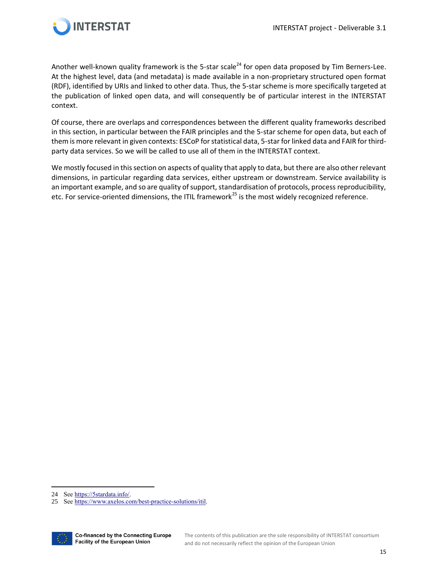

Another well-known quality framework is the 5-star scale<sup>24</sup> for open data proposed by Tim Berners-Lee. At the highest level, data (and metadata) is made available in a non-proprietary structured open format (RDF), identified by URIs and linked to other data. Thus, the 5-star scheme is more specifically targeted at the publication of linked open data, and will consequently be of particular interest in the INTERSTAT context.

Of course, there are overlaps and correspondences between the different quality frameworks described in this section, in particular between the FAIR principles and the 5-star scheme for open data, but each of them is more relevant in given contexts: ESCoP for statistical data, 5-star for linked data and FAIR for thirdparty data services. So we will be called to use all of them in the INTERSTAT context.

<span id="page-14-0"></span>We mostly focused in this section on aspects of quality that apply to data, but there are also other relevant dimensions, in particular regarding data services, either upstream or downstream. Service availability is an important example, and so are quality of support, standardisation of protocols, process reproducibility, etc. For service-oriented dimensions, the ITIL framework<sup>25</sup> is the most widely recognized reference.

<sup>25</sup> Se[e https://www.axelos.com/best-practice-solutions/itil.](https://www.axelos.com/best-practice-solutions/itil)



<sup>24</sup> Se[e https://5stardata.info/.](https://5stardata.info/)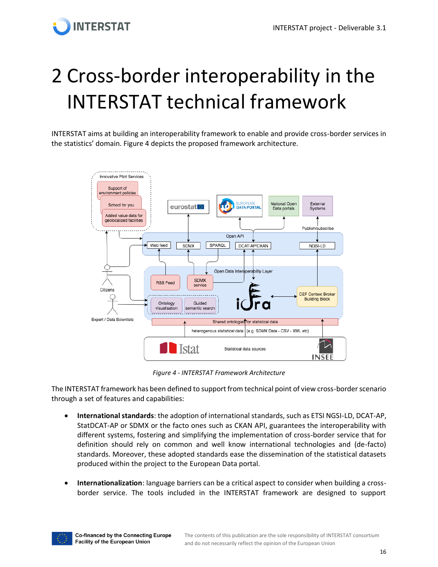# <span id="page-15-0"></span>2 Cross-border interoperability in the INTERSTAT technical framework

INTERSTAT aims at building an interoperability framework to enable and provide cross-border services in the statistics' domain. Figure 4 depicts the proposed framework architecture.



*Figure 4 - INTERSTAT Framework Architecture*

<span id="page-15-1"></span>The INTERSTAT framework has been defined to support from technical point of view cross-border scenario through a set of features and capabilities:

- **International standards**: the adoption of international standards, such as ETSI NGSI-LD, DCAT-AP, StatDCAT-AP or SDMX or the facto ones such as CKAN API, guarantees the interoperability with different systems, fostering and simplifying the implementation of cross-border service that for definition should rely on common and well know international technologies and (de-facto) standards. Moreover, these adopted standards ease the dissemination of the statistical datasets produced within the project to the European Data portal.
- **Internationalization**: language barriers can be a critical aspect to consider when building a crossborder service. The tools included in the INTERSTAT framework are designed to support

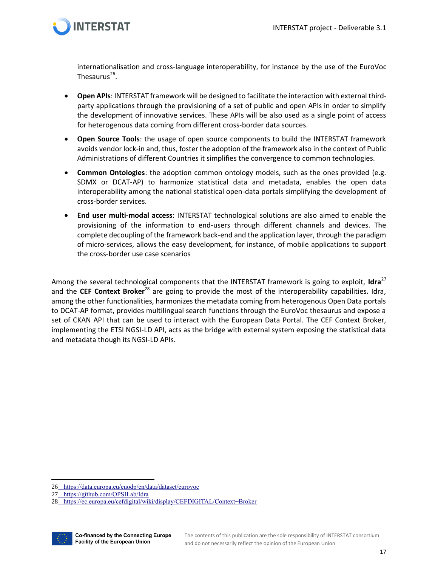

internationalisation and cross-language interoperability, for instance by the use of the EuroVoc Thesaurus<sup>26</sup>.

- **Open APIs**: INTERSTAT framework will be designed to facilitate the interaction with external thirdparty applications through the provisioning of a set of public and open APIs in order to simplify the development of innovative services. These APIs will be also used as a single point of access for heterogenous data coming from different cross-border data sources.
- **Open Source Tools**: the usage of open source components to build the INTERSTAT framework avoids vendor lock-in and, thus, foster the adoption of the framework also in the context of Public Administrations of different Countries it simplifies the convergence to common technologies.
- **Common Ontologies**: the adoption common ontology models, such as the ones provided (e.g. SDMX or DCAT-AP) to harmonize statistical data and metadata, enables the open data interoperability among the national statistical open-data portals simplifying the development of cross-border services.
- **End user multi-modal access**: INTERSTAT technological solutions are also aimed to enable the provisioning of the information to end-users through different channels and devices. The complete decoupling of the framework back-end and the application layer, through the paradigm of micro-services, allows the easy development, for instance, of mobile applications to support the cross-border use case scenarios

Among the several technological components that the INTERSTAT framework is going to exploit, **Idra**<sup>27</sup> and the **CEF Context Broker**<sup>28</sup> are going to provide the most of the interoperability capabilities. Idra, among the other functionalities, harmonizes the metadata coming from heterogenous Open Data portals to DCAT-AP format, provides multilingual search functions through the EuroVoc thesaurus and expose a set of CKAN API that can be used to interact with the European Data Portal. The CEF Context Broker, implementing the ETSI NGSI-LD API, acts as the bridge with external system exposing the statistical data and metadata though its NGSI-LD APIs.

<sup>28</sup> <https://ec.europa.eu/cefdigital/wiki/display/CEFDIGITAL/Context+Broker>



<sup>26</sup> <https://data.europa.eu/euodp/en/data/dataset/eurovoc>

<sup>27</sup> <https://github.com/OPSILab/Idra>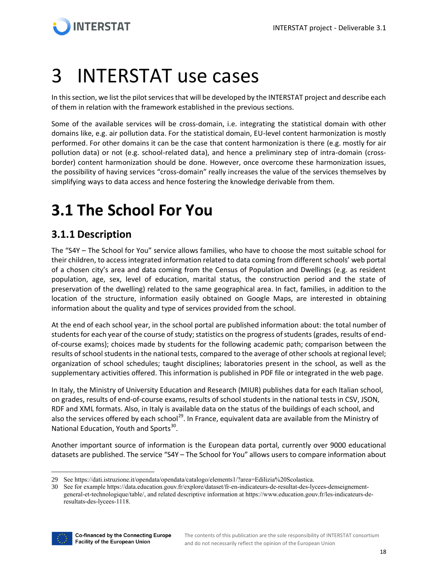

## <span id="page-17-0"></span>3 INTERSTAT use cases

In this section, we list the pilot services that will be developed by the INTERSTAT project and describe each of them in relation with the framework established in the previous sections.

Some of the available services will be cross-domain, i.e. integrating the statistical domain with other domains like, e.g. air pollution data. For the statistical domain, EU-level content harmonization is mostly performed. For other domains it can be the case that content harmonization is there (e.g. mostly for air pollution data) or not (e.g. school-related data), and hence a preliminary step of intra-domain (crossborder) content harmonization should be done. However, once overcome these harmonization issues, the possibility of having services "cross-domain" really increases the value of the services themselves by simplifying ways to data access and hence fostering the knowledge derivable from them.

## <span id="page-17-1"></span>**3.1 The School For You**

### <span id="page-17-2"></span>**3.1.1 Description**

The "S4Y – The School for You" service allows families, who have to choose the most suitable school for their children, to access integrated information related to data coming from different schools' web portal of a chosen city's area and data coming from the Census of Population and Dwellings (e.g. as resident population, age, sex, level of education, marital status, the construction period and the state of preservation of the dwelling) related to the same geographical area. In fact, families, in addition to the location of the structure, information easily obtained on Google Maps, are interested in obtaining information about the quality and type of services provided from the school.

At the end of each school year, in the school portal are published information about: the total number of students for each year of the course of study; statistics on the progress of students (grades, results of endof-course exams); choices made by students for the following academic path; comparison between the results of school students in the national tests, compared to the average of other schools at regional level; organization of school schedules; taught disciplines; laboratories present in the school, as well as the supplementary activities offered. This information is published in PDF file or integrated in the web page.

In Italy, the Ministry of University Education and Research (MIUR) publishes data for each Italian school, on grades, results of end-of-course exams, results of school students in the national tests in CSV, JSON, RDF and XML formats. Also, in Italy is available data on the status of the buildings of each school, and also the services offered by each school<sup>29</sup>. In France, equivalent data are available from the Ministry of National Education, Youth and Sports<sup>30</sup>.

Another important source of information is the European data portal, currently over 9000 educational datasets are published. The service "S4Y – The School for You" allows users to compare information about

<sup>30</sup> See for exampl[e https://data.education.gouv.fr/explore/dataset/fr-en-indicateurs-de-resultat-des-lycees-denseignement](https://data.education.gouv.fr/explore/dataset/fr-en-indicateurs-de-resultat-des-lycees-denseignement-general-et-technologique/table/)[general-et-technologique/table/,](https://data.education.gouv.fr/explore/dataset/fr-en-indicateurs-de-resultat-des-lycees-denseignement-general-et-technologique/table/) and related descriptive information a[t https://www.education.gouv.fr/les-indicateurs-de](https://www.education.gouv.fr/les-indicateurs-de-resultats-des-lycees-1118)[resultats-des-lycees-1118.](https://www.education.gouv.fr/les-indicateurs-de-resultats-des-lycees-1118)



<sup>29</sup> Se[e https://dati.istruzione.it/opendata/opendata/catalogo/elements1/?area=Edilizia%20Scolastica.](https://dati.istruzione.it/opendata/opendata/catalogo/elements1/?area=Edilizia%20Scolastica)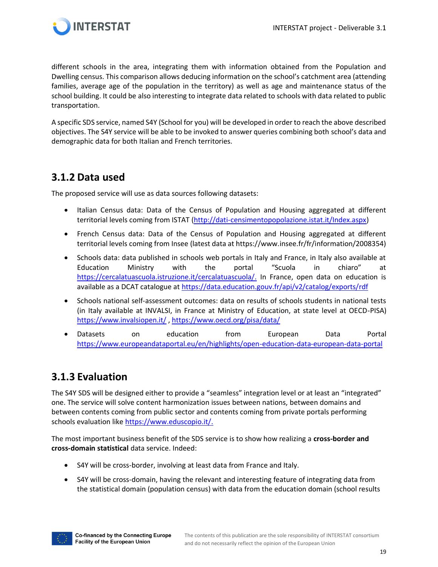

different schools in the area, integrating them with information obtained from the Population and Dwelling census. This comparison allows deducing information on the school's catchment area (attending families, average age of the population in the territory) as well as age and maintenance status of the school building. It could be also interesting to integrate data related to schools with data related to public transportation.

A specific SDS service, named S4Y (School for you) will be developed in order to reach the above described objectives. The S4Y service will be able to be invoked to answer queries combining both school's data and demographic data for both Italian and French territories.

### <span id="page-18-0"></span>**3.1.2 Data used**

The proposed service will use as data sources following datasets:

- Italian Census data: Data of the Census of Population and Housing aggregated at different territorial levels coming from ISTAT [\(http://dati-censimentopopolazione.istat.it/Index.aspx\)](http://dati-censimentopopolazione.istat.it/Index.aspx)
- French Census data: Data of the Census of Population and Housing aggregated at different territorial levels coming from Insee (latest data at https://www.insee.fr/fr/information/2008354)
- Schools data: data published in schools web portals in Italy and France, in Italy also available at Education Ministry with the portal "Scuola in chiaro" at [https://cercalatuascuola.istruzione.it/cercalatuascuola/.](https://cercalatuascuola.istruzione.it/cercalatuascuola/) In France, open data on education is available as a DCAT catalogue at<https://data.education.gouv.fr/api/v2/catalog/exports/rdf>
- Schools national self-assessment outcomes: data on results of schools students in national tests (in Italy available at INVALSI, in France at Ministry of Education, at state level at OECD-PISA) <https://www.invalsiopen.it/> ,<https://www.oecd.org/pisa/data/>
- Datasets on education from European Data Portal <https://www.europeandataportal.eu/en/highlights/open-education-data-european-data-portal>

### <span id="page-18-1"></span>**3.1.3 Evaluation**

The S4Y SDS will be designed either to provide a "seamless" integration level or at least an "integrated" one. The service will solve content harmonization issues between nations, between domains and between contents coming from public sector and contents coming from private portals performing schools evaluation like [https://www.eduscopio.it/.](https://www.eduscopio.it/)

The most important business benefit of the SDS service is to show how realizing a **cross-border and cross-domain statistical** data service. Indeed:

- S4Y will be cross-border, involving at least data from France and Italy.
- S4Y will be cross-domain, having the relevant and interesting feature of integrating data from the statistical domain (population census) with data from the education domain (school results

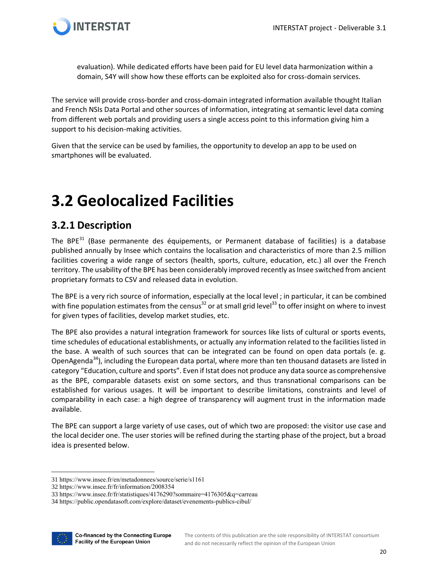

evaluation). While dedicated efforts have been paid for EU level data harmonization within a domain, S4Y will show how these efforts can be exploited also for cross-domain services.

The service will provide cross-border and cross-domain integrated information available thought Italian and French NSIs Data Portal and other sources of information, integrating at semantic level data coming from different web portals and providing users a single access point to this information giving him a support to his decision-making activities.

Given that the service can be used by families, the opportunity to develop an app to be used on smartphones will be evaluated.

## <span id="page-19-0"></span>**3.2 Geolocalized Facilities**

### <span id="page-19-1"></span>**3.2.1 Description**

Th[e](https://www.insee.fr/en/metadonnees/source/serie/s1161) BPE $^{31}$  (Base permanente des équipements, or Permanent database of facilities) is a database published annually by Insee which contains the localisation and characteristics of more than 2.5 million facilities covering a wide range of sectors (health, sports, culture, education, etc.) all over the French territory. The usability of the BPE has been considerably improved recently as Insee switched from ancient proprietary formats to CSV and released data in evolution.

The BPE is a very rich source of information, especially at the local level ; in particular, it can be combined wi[t](https://www.insee.fr/fr/statistiques/4176290?sommaire=4176305&q=carreau)h fine population estimates from the census<sup>32</sup> or at small grid level<sup>33</sup> to offer insight on where to invest for given types of facilities, develop market studies, etc.

The BPE also provides a natural integration framework for sources like lists of cultural or sports events, time schedules of educational establishments, or actually any information related to the facilities listed in the base. A wealth of such sources that can be integrated can be found on open data portals (e. g[.](https://public.opendatasoft.com/explore/dataset/evenements-publics-cibul) Op[e](https://www.europeandataportal.eu/data/datasets?categories=educ&page=1&locale=en&country=fr&facetOperator=AND)nAgenda<sup>34</sup>), including the European data portal, where more than ten thousand datasets are listed in category "Education, culture and sports". Even if Istat does not produce any data source as comprehensive as the BPE, comparable datasets exist on some sectors, and thus transnational comparisons can be established for various usages. It will be important to describe limitations, constraints and level of comparability in each case: a high degree of transparency will augment trust in the information made available.

The BPE can support a large variety of use cases, out of which two are proposed: the visitor use case and the local decider one. The user stories will be refined during the starting phase of the project, but a broad idea is presented below.

<sup>34</sup> <https://public.opendatasoft.com/explore/dataset/evenements-publics-cibul/>



<sup>31</sup> <https://www.insee.fr/en/metadonnees/source/serie/s1161>

<sup>32</sup> <https://www.insee.fr/fr/information/2008354>

<sup>33</sup> <https://www.insee.fr/fr/statistiques/4176290?sommaire=4176305&q=carreau>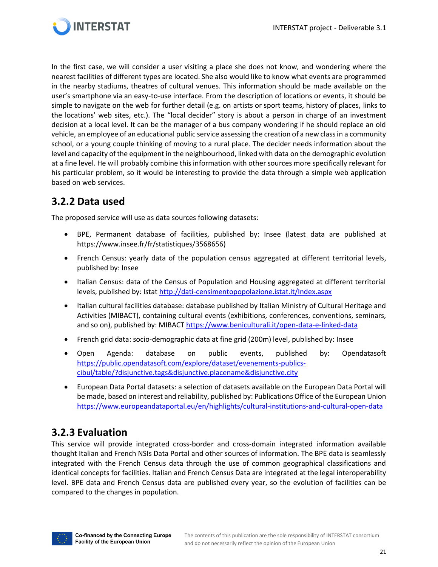

In the first case, we will consider a user visiting a place she does not know, and wondering where the nearest facilities of different types are located. She also would like to know what events are programmed in the nearby stadiums, theatres of cultural venues. This information should be made available on the user's smartphone via an easy-to-use interface. From the description of locations or events, it should be simple to navigate on the web for further detail (e.g. on artists or sport teams, history of places, links to the locations' web sites, etc.). The "local decider" story is about a person in charge of an investment decision at a local level. It can be the manager of a bus company wondering if he should replace an old vehicle, an employee of an educational public service assessing the creation of a new class in a community school, or a young couple thinking of moving to a rural place. The decider needs information about the level and capacity of the equipment in the neighbourhood, linked with data on the demographic evolution at a fine level. He will probably combine this information with other sources more specifically relevant for his particular problem, so it would be interesting to provide the data through a simple web application based on web services.

### <span id="page-20-0"></span>**3.2.2 Data used**

The proposed service will use as data sources following datasets:

- BPE, Permanent database of facilities, published by: Insee (latest data are published at https://www.insee.fr/fr/statistiques/3568656)
- French Census: yearly data of the population census aggregated at different territorial levels, published by: Insee
- Italian Census: data of the Census of Population and Housing aggregated at different territorial levels, published by: Istat<http://dati-censimentopopolazione.istat.it/Index.aspx>
- Italian cultural facilities database: database published by Italian Ministry of Cultural Heritage and Activities (MIBACT), containing cultural events (exhibitions, conferences, conventions, seminars, and so on), published by: MIBACT<https://www.beniculturali.it/open-data-e-linked-data>
- French grid data: socio-demographic data at fine grid (200m) level, published by: Insee
- Open Agenda: database on public events, published by: Opendatasoft [https://public.opendatasoft.com/explore/dataset/evenements-publics](https://public.opendatasoft.com/explore/dataset/evenements-publics-cibul/table/?disjunctive.tags&disjunctive.placename&disjunctive.city)[cibul/table/?disjunctive.tags&disjunctive.placename&disjunctive.city](https://public.opendatasoft.com/explore/dataset/evenements-publics-cibul/table/?disjunctive.tags&disjunctive.placename&disjunctive.city)
- European Data Portal datasets: a selection of datasets available on the European Data Portal will be made, based on interest and reliability, published by: Publications Office of the European Union <https://www.europeandataportal.eu/en/highlights/cultural-institutions-and-cultural-open-data>

### <span id="page-20-1"></span>**3.2.3 Evaluation**

This service will provide integrated cross-border and cross-domain integrated information available thought Italian and French NSIs Data Portal and other sources of information. The BPE data is seamlessly integrated with the French Census data through the use of common geographical classifications and identical concepts for facilities. Italian and French Census Data are integrated at the legal interoperability level. BPE data and French Census data are published every year, so the evolution of facilities can be compared to the changes in population.

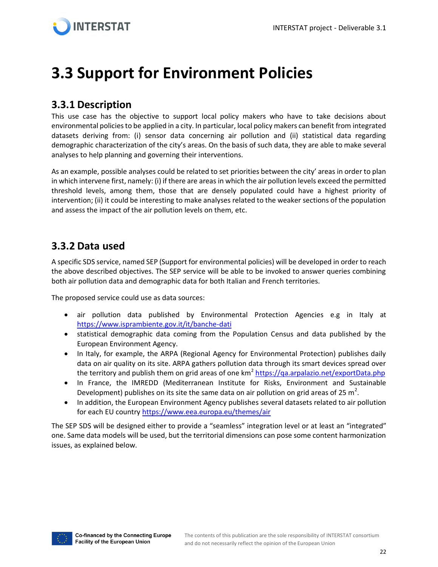## <span id="page-21-0"></span>**3.3 Support for Environment Policies**

### <span id="page-21-1"></span>**3.3.1 Description**

This use case has the objective to support local policy makers who have to take decisions about environmental policies to be applied in a city. In particular, local policy makers can benefit from integrated datasets deriving from: (i) sensor data concerning air pollution and (ii) statistical data regarding demographic characterization of the city's areas. On the basis of such data, they are able to make several analyses to help planning and governing their interventions.

As an example, possible analyses could be related to set priorities between the city' areas in order to plan in which intervene first, namely: (i) if there are areas in which the air pollution levels exceed the permitted threshold levels, among them, those that are densely populated could have a highest priority of intervention; (ii) it could be interesting to make analyses related to the weaker sections of the population and assess the impact of the air pollution levels on them, etc.

#### <span id="page-21-2"></span>**3.3.2 Data used**

A specific SDS service, named SEP (Support for environmental policies) will be developed in order to reach the above described objectives. The SEP service will be able to be invoked to answer queries combining both air pollution data and demographic data for both Italian and French territories.

The proposed service could use as data sources:

- air pollution data published by Environmental Protection Agencies e.g in Italy at <https://www.isprambiente.gov.it/it/banche-dati>
- statistical demographic data coming from the Population Census and data published by the European Environment Agency.
- In Italy, for example, the ARPA (Regional Agency for Environmental Protection) publishes daily data on air quality on its site. ARPA gathers pollution data through its smart devices spread over the territory and publish them on grid areas of one km<sup>2</sup> <https://qa.arpalazio.net/exportData.php>
- In France, the IMREDD (Mediterranean Institute for Risks, Environment and Sustainable Development) publishes on its site the same data on air pollution on grid areas of 25  $m^2$ .
- In addition, the European Environment Agency publishes several datasets related to air pollution for each EU countr[y https://www.eea.europa.eu/themes/air](https://www.eea.europa.eu/themes/air)

The SEP SDS will be designed either to provide a "seamless" integration level or at least an "integrated" one. Same data models will be used, but the territorial dimensions can pose some content harmonization issues, as explained below.

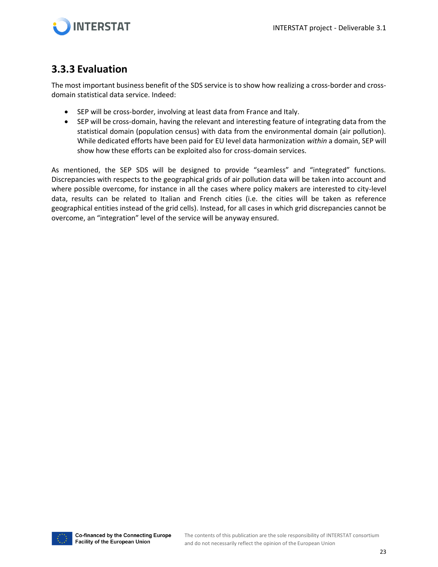



### <span id="page-22-0"></span>**3.3.3 Evaluation**

The most important business benefit of the SDS service is to show how realizing a cross-border and crossdomain statistical data service. Indeed:

- SEP will be cross-border, involving at least data from France and Italy.
- SEP will be cross-domain, having the relevant and interesting feature of integrating data from the statistical domain (population census) with data from the environmental domain (air pollution). While dedicated efforts have been paid for EU level data harmonization *within* a domain, SEP will show how these efforts can be exploited also for cross-domain services.

As mentioned, the SEP SDS will be designed to provide "seamless" and "integrated" functions. Discrepancies with respects to the geographical grids of air pollution data will be taken into account and where possible overcome, for instance in all the cases where policy makers are interested to city-level data, results can be related to Italian and French cities (i.e. the cities will be taken as reference geographical entities instead of the grid cells). Instead, for all cases in which grid discrepancies cannot be overcome, an "integration" level of the service will be anyway ensured.

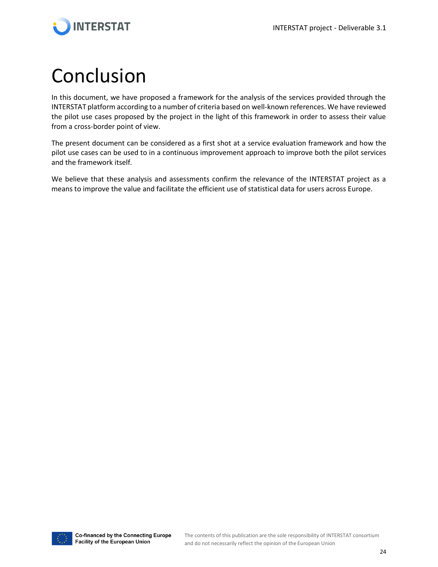

## <span id="page-23-0"></span>Conclusion

In this document, we have proposed a framework for the analysis of the services provided through the INTERSTAT platform according to a number of criteria based on well-known references. We have reviewed the pilot use cases proposed by the project in the light of this framework in order to assess their value from a cross-border point of view.

The present document can be considered as a first shot at a service evaluation framework and how the pilot use cases can be used to in a continuous improvement approach to improve both the pilot services and the framework itself.

We believe that these analysis and assessments confirm the relevance of the INTERSTAT project as a means to improve the value and facilitate the efficient use of statistical data for users across Europe.

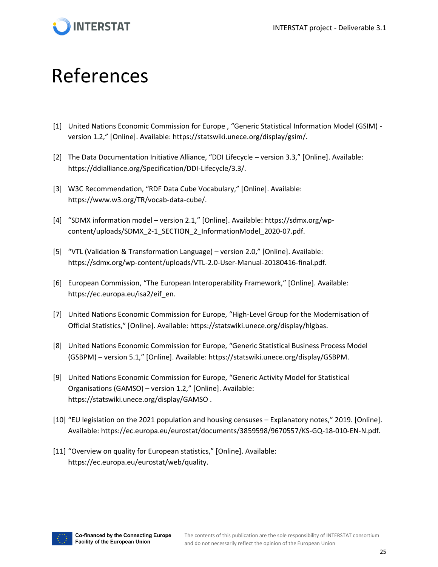

## <span id="page-24-0"></span>References

- [1] United Nations Economic Commission for Europe , "Generic Statistical Information Model (GSIM) version 1.2," [Online]. Available: https://statswiki.unece.org/display/gsim/.
- [2] The Data Documentation Initiative Alliance, "DDI Lifecycle version 3.3," [Online]. Available: https://ddialliance.org/Specification/DDI-Lifecycle/3.3/.
- [3] W3C Recommendation, "RDF Data Cube Vocabulary," [Online]. Available: https://www.w3.org/TR/vocab-data-cube/.
- [4] "SDMX information model version 2.1," [Online]. Available: https://sdmx.org/wpcontent/uploads/SDMX\_2-1\_SECTION\_2\_InformationModel\_2020-07.pdf.
- [5] "VTL (Validation & Transformation Language) version 2.0," [Online]. Available: https://sdmx.org/wp-content/uploads/VTL-2.0-User-Manual-20180416-final.pdf.
- [6] European Commission, "The European Interoperability Framework," [Online]. Available: https://ec.europa.eu/isa2/eif\_en.
- [7] United Nations Economic Commission for Europe, "High-Level Group for the Modernisation of Official Statistics," [Online]. Available: https://statswiki.unece.org/display/hlgbas.
- [8] United Nations Economic Commission for Europe, "Generic Statistical Business Process Model (GSBPM) – version 5.1," [Online]. Available: https://statswiki.unece.org/display/GSBPM.
- [9] United Nations Economic Commission for Europe, "Generic Activity Model for Statistical Organisations (GAMSO) – version 1.2," [Online]. Available: https://statswiki.unece.org/display/GAMSO .
- [10] "EU legislation on the 2021 population and housing censuses Explanatory notes," 2019. [Online]. Available: https://ec.europa.eu/eurostat/documents/3859598/9670557/KS-GQ-18-010-EN-N.pdf.
- [11] "Overview on quality for European statistics," [Online]. Available: https://ec.europa.eu/eurostat/web/quality.